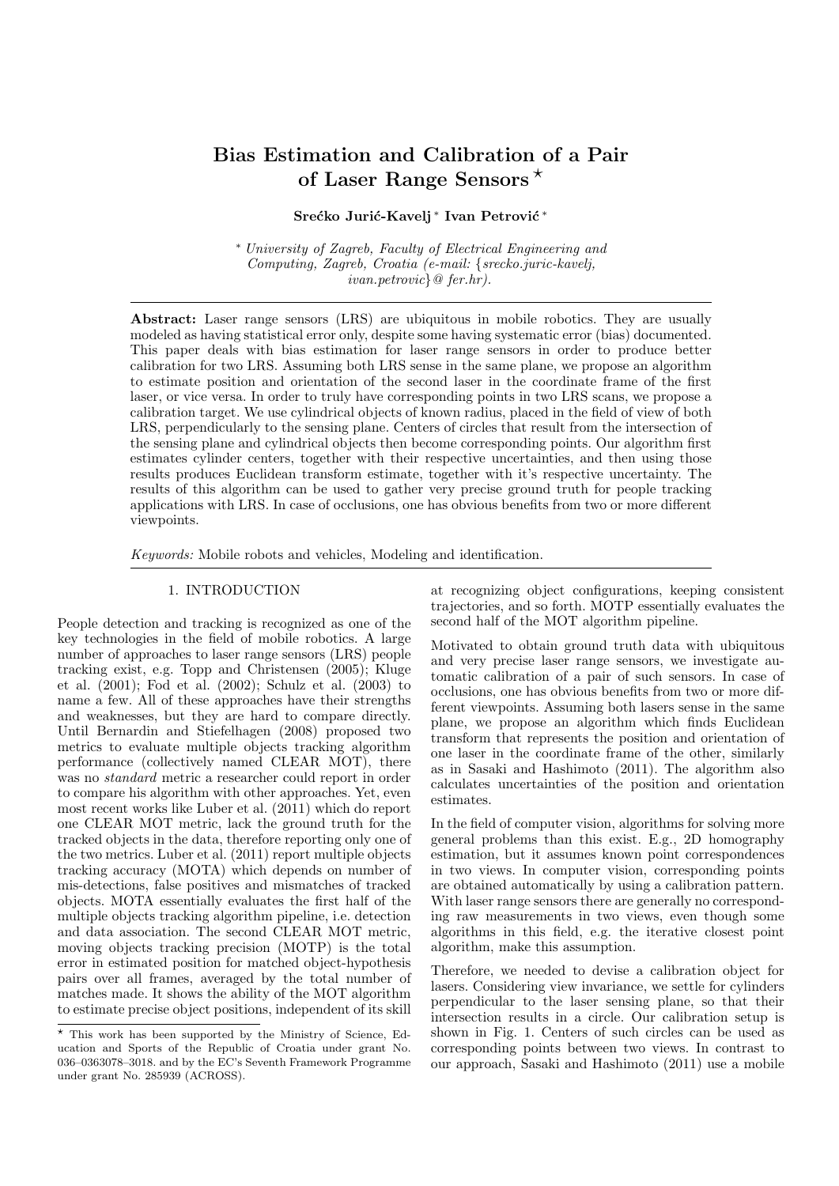# Bias Estimation and Calibration of a Pair of Laser Range Sensors  $*$

# Srećko Jurić-Kavelj<sup>\*</sup> Ivan Petrović<sup>\*</sup>

<sup>∗</sup> University of Zagreb, Faculty of Electrical Engineering and Computing, Zagreb, Croatia (e-mail: {srecko.juric-kavelj, ivan.petrovic}@ fer.hr).

Abstract: Laser range sensors (LRS) are ubiquitous in mobile robotics. They are usually modeled as having statistical error only, despite some having systematic error (bias) documented. This paper deals with bias estimation for laser range sensors in order to produce better calibration for two LRS. Assuming both LRS sense in the same plane, we propose an algorithm to estimate position and orientation of the second laser in the coordinate frame of the first laser, or vice versa. In order to truly have corresponding points in two LRS scans, we propose a calibration target. We use cylindrical objects of known radius, placed in the field of view of both LRS, perpendicularly to the sensing plane. Centers of circles that result from the intersection of the sensing plane and cylindrical objects then become corresponding points. Our algorithm first estimates cylinder centers, together with their respective uncertainties, and then using those results produces Euclidean transform estimate, together with it's respective uncertainty. The results of this algorithm can be used to gather very precise ground truth for people tracking applications with LRS. In case of occlusions, one has obvious benefits from two or more different viewpoints.

Keywords: Mobile robots and vehicles, Modeling and identification.

#### 1. INTRODUCTION

People detection and tracking is recognized as one of the key technologies in the field of mobile robotics. A large number of approaches to laser range sensors (LRS) people tracking exist, e.g. Topp and Christensen (2005); Kluge et al. (2001); Fod et al. (2002); Schulz et al. (2003) to name a few. All of these approaches have their strengths and weaknesses, but they are hard to compare directly. Until Bernardin and Stiefelhagen (2008) proposed two metrics to evaluate multiple objects tracking algorithm performance (collectively named CLEAR MOT), there was no standard metric a researcher could report in order to compare his algorithm with other approaches. Yet, even most recent works like Luber et al. (2011) which do report one CLEAR MOT metric, lack the ground truth for the tracked objects in the data, therefore reporting only one of the two metrics. Luber et al. (2011) report multiple objects tracking accuracy (MOTA) which depends on number of mis-detections, false positives and mismatches of tracked objects. MOTA essentially evaluates the first half of the multiple objects tracking algorithm pipeline, i.e. detection and data association. The second CLEAR MOT metric, moving objects tracking precision (MOTP) is the total error in estimated position for matched object-hypothesis pairs over all frames, averaged by the total number of matches made. It shows the ability of the MOT algorithm to estimate precise object positions, independent of its skill

at recognizing object configurations, keeping consistent trajectories, and so forth. MOTP essentially evaluates the second half of the MOT algorithm pipeline.

Motivated to obtain ground truth data with ubiquitous and very precise laser range sensors, we investigate automatic calibration of a pair of such sensors. In case of occlusions, one has obvious benefits from two or more different viewpoints. Assuming both lasers sense in the same plane, we propose an algorithm which finds Euclidean transform that represents the position and orientation of one laser in the coordinate frame of the other, similarly as in Sasaki and Hashimoto (2011). The algorithm also calculates uncertainties of the position and orientation estimates.

In the field of computer vision, algorithms for solving more general problems than this exist. E.g., 2D homography estimation, but it assumes known point correspondences in two views. In computer vision, corresponding points are obtained automatically by using a calibration pattern. With laser range sensors there are generally no corresponding raw measurements in two views, even though some algorithms in this field, e.g. the iterative closest point algorithm, make this assumption.

Therefore, we needed to devise a calibration object for lasers. Considering view invariance, we settle for cylinders perpendicular to the laser sensing plane, so that their intersection results in a circle. Our calibration setup is shown in Fig. 1. Centers of such circles can be used as corresponding points between two views. In contrast to our approach, Sasaki and Hashimoto (2011) use a mobile

<sup>?</sup> This work has been supported by the Ministry of Science, Education and Sports of the Republic of Croatia under grant No. 036–0363078–3018. and by the EC's Seventh Framework Programme under grant No. 285939 (ACROSS).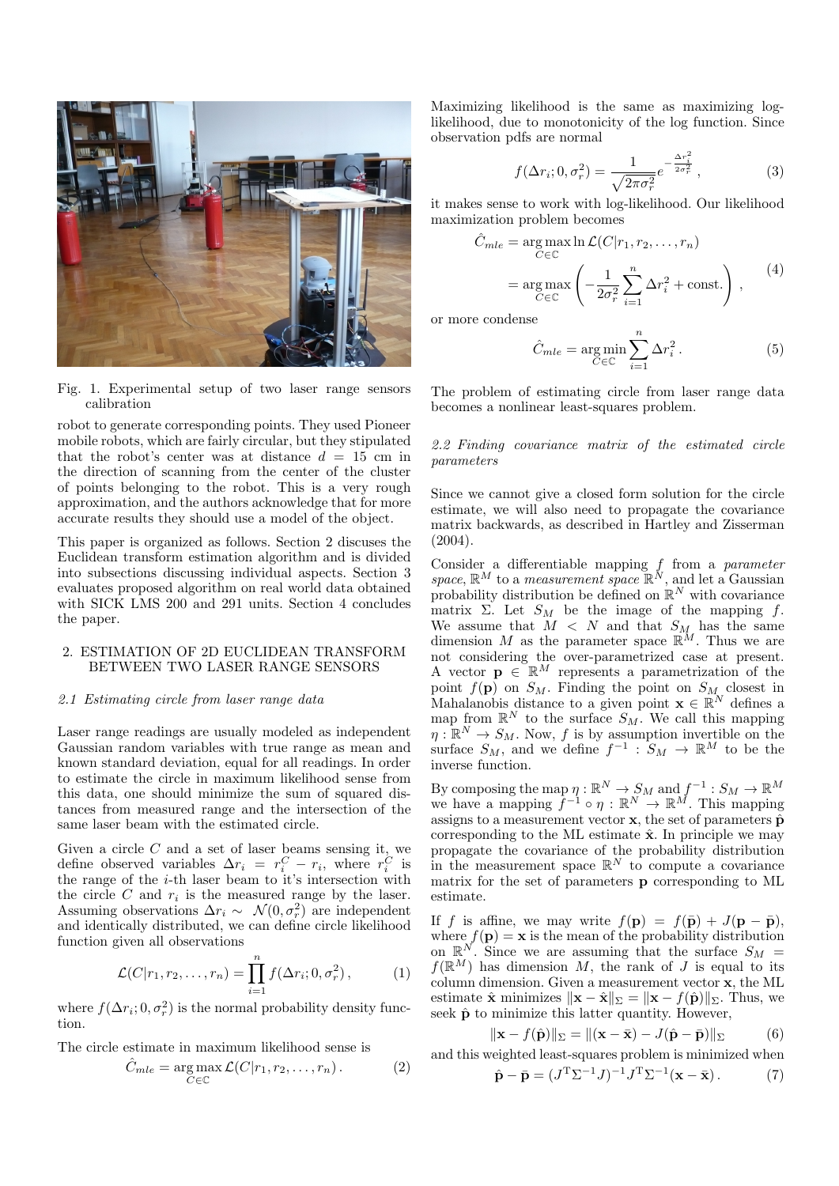

Fig. 1. Experimental setup of two laser range sensors calibration

robot to generate corresponding points. They used Pioneer mobile robots, which are fairly circular, but they stipulated that the robot's center was at distance  $d = 15$  cm in the direction of scanning from the center of the cluster of points belonging to the robot. This is a very rough approximation, and the authors acknowledge that for more accurate results they should use a model of the object.

This paper is organized as follows. Section 2 discuses the Euclidean transform estimation algorithm and is divided into subsections discussing individual aspects. Section 3 evaluates proposed algorithm on real world data obtained with SICK LMS 200 and 291 units. Section 4 concludes the paper.

## 2. ESTIMATION OF 2D EUCLIDEAN TRANSFORM BETWEEN TWO LASER RANGE SENSORS

#### 2.1 Estimating circle from laser range data

Laser range readings are usually modeled as independent Gaussian random variables with true range as mean and known standard deviation, equal for all readings. In order to estimate the circle in maximum likelihood sense from this data, one should minimize the sum of squared distances from measured range and the intersection of the same laser beam with the estimated circle.

Given a circle  $C$  and a set of laser beams sensing it, we define observed variables  $\Delta r_i = r_i^C - r_i$ , where  $r_i^C$  is the range of the  $i$ -th laser beam to it's intersection with the circle  $C$  and  $r_i$  is the measured range by the laser. Assuming observations  $\Delta r_i \sim \mathcal{N}(0, \sigma_r^2)$  are independent and identically distributed, we can define circle likelihood function given all observations

$$
\mathcal{L}(C|r_1, r_2, \dots, r_n) = \prod_{i=1}^n f(\Delta r_i; 0, \sigma_r^2), \tag{1}
$$

where  $f(\Delta r_i; 0, \sigma_r^2)$  is the normal probability density function.

The circle estimate in maximum likelihood sense is

$$
\hat{C}_{mle} = \underset{C \in \mathbb{C}}{\arg \max} \mathcal{L}(C|r_1, r_2, \dots, r_n). \tag{2}
$$

Maximizing likelihood is the same as maximizing loglikelihood, due to monotonicity of the log function. Since observation pdfs are normal

$$
f(\Delta r_i; 0, \sigma_r^2) = \frac{1}{\sqrt{2\pi\sigma_r^2}} e^{-\frac{\Delta r_i^2}{2\sigma_r^2}}, \qquad (3)
$$

it makes sense to work with log-likelihood. Our likelihood maximization problem becomes

$$
\hat{C}_{mle} = \underset{C \in \mathbb{C}}{\arg \max} \ln \mathcal{L}(C|r_1, r_2, \dots, r_n)
$$
\n
$$
= \underset{C \in \mathbb{C}}{\arg \max} \left( -\frac{1}{2\sigma_r^2} \sum_{i=1}^n \Delta r_i^2 + \text{const.} \right), \qquad (4)
$$

or more condense

$$
\hat{C}_{mle} = \underset{C \in \mathbb{C}}{\text{arg min}} \sum_{i=1}^{n} \Delta r_i^2. \tag{5}
$$

The problem of estimating circle from laser range data becomes a nonlinear least-squares problem.

#### 2.2 Finding covariance matrix of the estimated circle parameters

Since we cannot give a closed form solution for the circle estimate, we will also need to propagate the covariance matrix backwards, as described in Hartley and Zisserman (2004).

Consider a differentiable mapping f from a parameter space,  $\mathbb{R}^M$  to a *measurement space*  $\mathbb{R}^N$ , and let a Gaussian probability distribution be defined on  $\mathbb{R}^N$  with covariance matrix  $\Sigma$ . Let  $S_M$  be the image of the mapping f. We assume that  $M < N$  and that  $S_M$  has the same dimension M as the parameter space  $\mathbb{R}^M$ . Thus we are not considering the over-parametrized case at present. A vector  $\mathbf{p} \in \mathbb{R}^M$  represents a parametrization of the point  $f(\mathbf{p})$  on  $S_M$ . Finding the point on  $S_M$  closest in Mahalanobis distance to a given point  $\mathbf{x} \in \mathbb{R}^N$  defines a map from  $\mathbb{R}^N$  to the surface  $S_M$ . We call this mapping  $\eta: \mathbb{R}^N \to S_M$ . Now, f is by assumption invertible on the surface  $S_M$ , and we define  $f^{-1}: S_M \to \mathbb{R}^M$  to be the inverse function.

By composing the map  $\eta : \mathbb{R}^N \to S_M$  and  $f^{-1} : S_M \to \mathbb{R}^M$ we have a mapping  $f^{-1} \circ \eta : \mathbb{R}^N \to \mathbb{R}^M$ . This mapping assigns to a measurement vector  $\mathbf{x}$ , the set of parameters  $\hat{\mathbf{p}}$ corresponding to the ML estimate  $\hat{\mathbf{x}}$ . In principle we may propagate the covariance of the probability distribution in the measurement space  $\mathbb{R}^N$  to compute a covariance matrix for the set of parameters p corresponding to ML estimate.

If f is affine, we may write  $f(\mathbf{p}) = f(\bar{\mathbf{p}}) + J(\mathbf{p} - \bar{\mathbf{p}})$ , where  $f(\mathbf{p}) = \mathbf{x}$  is the mean of the probability distribution on  $\mathbb{R}^N$ . Since we are assuming that the surface  $S_M$  =  $f(\mathbb{R}^M)$  has dimension M, the rank of J is equal to its column dimension. Given a measurement vector x, the ML estimate  $\hat{\mathbf{x}}$  minimizes  $\|\mathbf{x} - \hat{\mathbf{x}}\|_{\Sigma} = \|\mathbf{x} - f(\hat{\mathbf{p}})\|_{\Sigma}$ . Thus, we seek  $\hat{\mathbf{p}}$  to minimize this latter quantity. However,

$$
\|\mathbf{x} - f(\hat{\mathbf{p}})\|_{\Sigma} = \|(\mathbf{x} - \bar{\mathbf{x}}) - J(\hat{\mathbf{p}} - \bar{\mathbf{p}})\|_{\Sigma}
$$
(6)

and this weighted least-squares problem is minimized when

$$
\hat{\mathbf{p}} - \bar{\mathbf{p}} = (J^{\mathrm{T}} \Sigma^{-1} J)^{-1} J^{\mathrm{T}} \Sigma^{-1} (\mathbf{x} - \bar{\mathbf{x}}).
$$
 (7)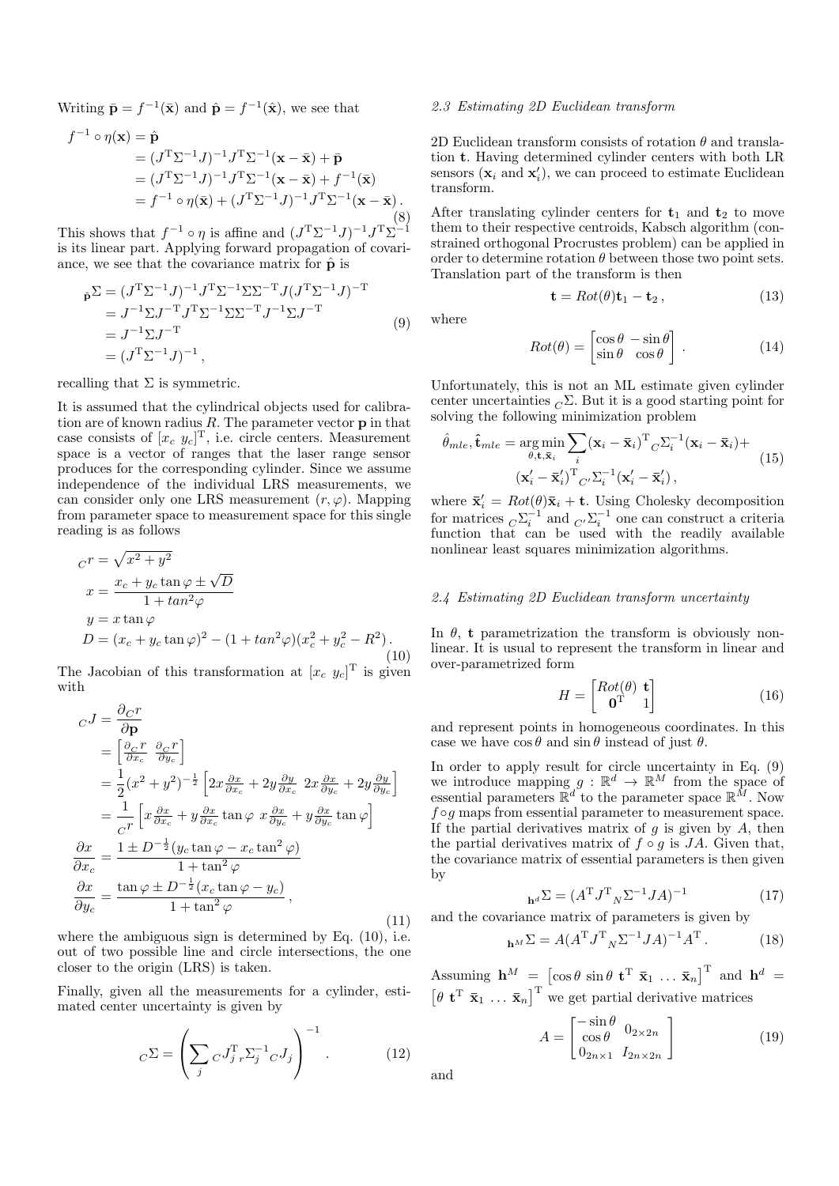Writing  $\bar{\mathbf{p}} = f^{-1}(\bar{\mathbf{x}})$  and  $\hat{\mathbf{p}} = f^{-1}(\hat{\mathbf{x}})$ , we see that

$$
f^{-1} \circ \eta(\mathbf{x}) = \hat{\mathbf{p}}
$$
  
=  $(J^T \Sigma^{-1} J)^{-1} J^T \Sigma^{-1} (\mathbf{x} - \bar{\mathbf{x}}) + \bar{\mathbf{p}}$   
=  $(J^T \Sigma^{-1} J)^{-1} J^T \Sigma^{-1} (\mathbf{x} - \bar{\mathbf{x}}) + f^{-1} (\bar{\mathbf{x}})$   
=  $f^{-1} \circ \eta(\bar{\mathbf{x}}) + (J^T \Sigma^{-1} J)^{-1} J^T \Sigma^{-1} (\mathbf{x} - \bar{\mathbf{x}}).$  (8)

This shows that  $f^{-1} \circ \eta$  is affine and  $(J^{T} \Sigma^{-1} J)^{-1} J^{T} \Sigma^{-1}$ is its linear part. Applying forward propagation of covariance, we see that the covariance matrix for  $\hat{\mathbf{p}}$  is

$$
\hat{\mathbf{p}}^{\Sigma} = (J^{\mathrm{T}} \Sigma^{-1} J)^{-1} J^{\mathrm{T}} \Sigma^{-1} \Sigma \Sigma^{-\mathrm{T}} J (J^{\mathrm{T}} \Sigma^{-1} J)^{-\mathrm{T}} \n= J^{-1} \Sigma J^{-\mathrm{T}} J^{\mathrm{T}} \Sigma^{-1} \Sigma \Sigma^{-\mathrm{T}} J^{-1} \Sigma J^{-\mathrm{T}} \n= J^{-1} \Sigma J^{-\mathrm{T}} \n= (J^{\mathrm{T}} \Sigma^{-1} J)^{-1},
$$
\n(9)

recalling that  $\Sigma$  is symmetric.

It is assumed that the cylindrical objects used for calibration are of known radius  $R$ . The parameter vector  $p$  in that case consists of  $[x_c \ y_c]^T$ , i.e. circle centers. Measurement space is a vector of ranges that the laser range sensor produces for the corresponding cylinder. Since we assume independence of the individual LRS measurements, we can consider only one LRS measurement  $(r, \varphi)$ . Mapping from parameter space to measurement space for this single reading is as follows

$$
Cr = \sqrt{x^2 + y^2}
$$
  
\n
$$
x = \frac{x_c + y_c \tan \varphi \pm \sqrt{D}}{1 + \tan^2 \varphi}
$$
  
\n
$$
y = x \tan \varphi
$$
  
\n
$$
D = (x_c + y_c \tan \varphi)^2 - (1 + \tan^2 \varphi)(x_c^2 + y_c^2 - R^2).
$$
\n(10)

The Jacobian of this transformation at  $[x_c, y_c]^T$  is given with

$$
cJ = \frac{\partial_C r}{\partial \mathbf{p}}
$$
  
\n
$$
= \left[\frac{\partial_C r}{\partial x_c} \frac{\partial_C r}{\partial y_c}\right]
$$
  
\n
$$
= \frac{1}{2} (x^2 + y^2)^{-\frac{1}{2}} \left[2x \frac{\partial x}{\partial x_c} + 2y \frac{\partial y}{\partial x_c} 2x \frac{\partial x}{\partial y_c} + 2y \frac{\partial y}{\partial y_c}\right]
$$
  
\n
$$
= \frac{1}{c^r} \left[x \frac{\partial x}{\partial x_c} + y \frac{\partial x}{\partial x_c} \tan \varphi \right] x \frac{\partial x}{\partial y_c} + y \frac{\partial x}{\partial y_c} \tan \varphi\right]
$$
  
\n
$$
\frac{\partial x}{\partial x_c} = \frac{1 \pm D^{-\frac{1}{2}} (y_c \tan \varphi - x_c \tan^2 \varphi)}{1 + \tan^2 \varphi}
$$
  
\n
$$
\frac{\partial x}{\partial y_c} = \frac{\tan \varphi \pm D^{-\frac{1}{2}} (x_c \tan \varphi - y_c)}{1 + \tan^2 \varphi}, \tag{11}
$$

where the ambiguous sign is determined by Eq.  $(10)$ , i.e. out of two possible line and circle intersections, the one closer to the origin (LRS) is taken.

Finally, given all the measurements for a cylinder, estimated center uncertainty is given by

$$
{}_C\Sigma = \left(\sum_j {}_C J_j^{\mathrm{T}} {}_r \Sigma_j^{-1} {}_C J_j\right)^{-1}.\tag{12}
$$

## 2.3 Estimating 2D Euclidean transform

2D Euclidean transform consists of rotation  $\theta$  and translation t. Having determined cylinder centers with both LR sensors  $(\mathbf{x}_i \text{ and } \mathbf{x}'_i)$ , we can proceed to estimate Euclidean transform.

After translating cylinder centers for  $t_1$  and  $t_2$  to move them to their respective centroids, Kabsch algorithm (constrained orthogonal Procrustes problem) can be applied in order to determine rotation  $\theta$  between those two point sets. Translation part of the transform is then

$$
\mathbf{t} = Rot(\theta)\mathbf{t}_1 - \mathbf{t}_2, \qquad (13)
$$

where

$$
Rot(\theta) = \begin{bmatrix} \cos \theta & -\sin \theta \\ \sin \theta & \cos \theta \end{bmatrix} .
$$
 (14)

Unfortunately, this is not an ML estimate given cylinder center uncertainties  ${}_{C}\Sigma$ . But it is a good starting point for solving the following minimization problem

$$
\hat{\theta}_{mle}, \hat{\mathbf{t}}_{mle} = \underset{\theta, \mathbf{t}, \bar{\mathbf{x}}_i}{\arg \min} \sum_{i} (\mathbf{x}_i - \bar{\mathbf{x}}_i)^{\mathrm{T}}{}_C \Sigma_i^{-1} (\mathbf{x}_i - \bar{\mathbf{x}}_i) +
$$
\n
$$
(\mathbf{x}'_i - \bar{\mathbf{x}}'_i)^{\mathrm{T}} {}_{C'} \Sigma_i^{-1} (\mathbf{x}'_i - \bar{\mathbf{x}}'_i),
$$
\n(15)

where  $\bar{\mathbf{x}}'_i = Rot(\theta)\bar{\mathbf{x}}_i + \mathbf{t}$ . Using Cholesky decomposition for matrices  ${}_{C}\Sigma_i^{-1}$  and  ${}_{C'}\Sigma_i^{-1}$  one can construct a criteria function that can be used with the readily available nonlinear least squares minimization algorithms.

## 2.4 Estimating 2D Euclidean transform uncertainty

In  $\theta$ , t parametrization the transform is obviously nonlinear. It is usual to represent the transform in linear and over-parametrized form

$$
H = \begin{bmatrix} Rot(\theta) & \mathbf{t} \\ \mathbf{0}^{\mathrm{T}} & 1 \end{bmatrix} \tag{16}
$$

and represent points in homogeneous coordinates. In this case we have  $\cos \theta$  and  $\sin \theta$  instead of just  $\theta$ .

In order to apply result for circle uncertainty in Eq. (9) we introduce mapping  $g : \mathbb{R}^d \to \mathbb{R}^M$  from the space of essential parameters  $\mathbb{R}^d$  to the parameter space  $\mathbb{R}^{\tilde{M}}$ . Now  $f \circ g$  maps from essential parameter to measurement space. If the partial derivatives matrix of  $g$  is given by  $A$ , then the partial derivatives matrix of  $f \circ g$  is JA. Given that, the covariance matrix of essential parameters is then given by

$$
{}_{\mathbf{h}^d}\Sigma = (A^T J^T{}_N \Sigma^{-1} J A)^{-1} \tag{17}
$$

and the covariance matrix of parameters is given by

$$
{}_{\mathbf{h}^M}\Sigma = A(A^T J^T{}_N \Sigma^{-1} J A)^{-1} A^T. \tag{18}
$$

Assuming  $\mathbf{h}^M = \begin{bmatrix} \cos \theta & \sin \theta & \mathbf{t}^T & \mathbf{\bar{x}}_1 & \dots & \mathbf{\bar{x}}_n \end{bmatrix}^T$  and  $\mathbf{h}^d =$  $\begin{bmatrix} \theta & \mathbf{t}^T & \bar{\mathbf{x}}_1 & \dots & \bar{\mathbf{x}}_n \end{bmatrix}^T$  we get partial derivative matrices

$$
A = \begin{bmatrix} -\sin\theta & 0_{2 \times 2n} \\ \cos\theta & 0_{2 \times 2n} \\ 0_{2n \times 1} & I_{2n \times 2n} \end{bmatrix}
$$
 (19)

and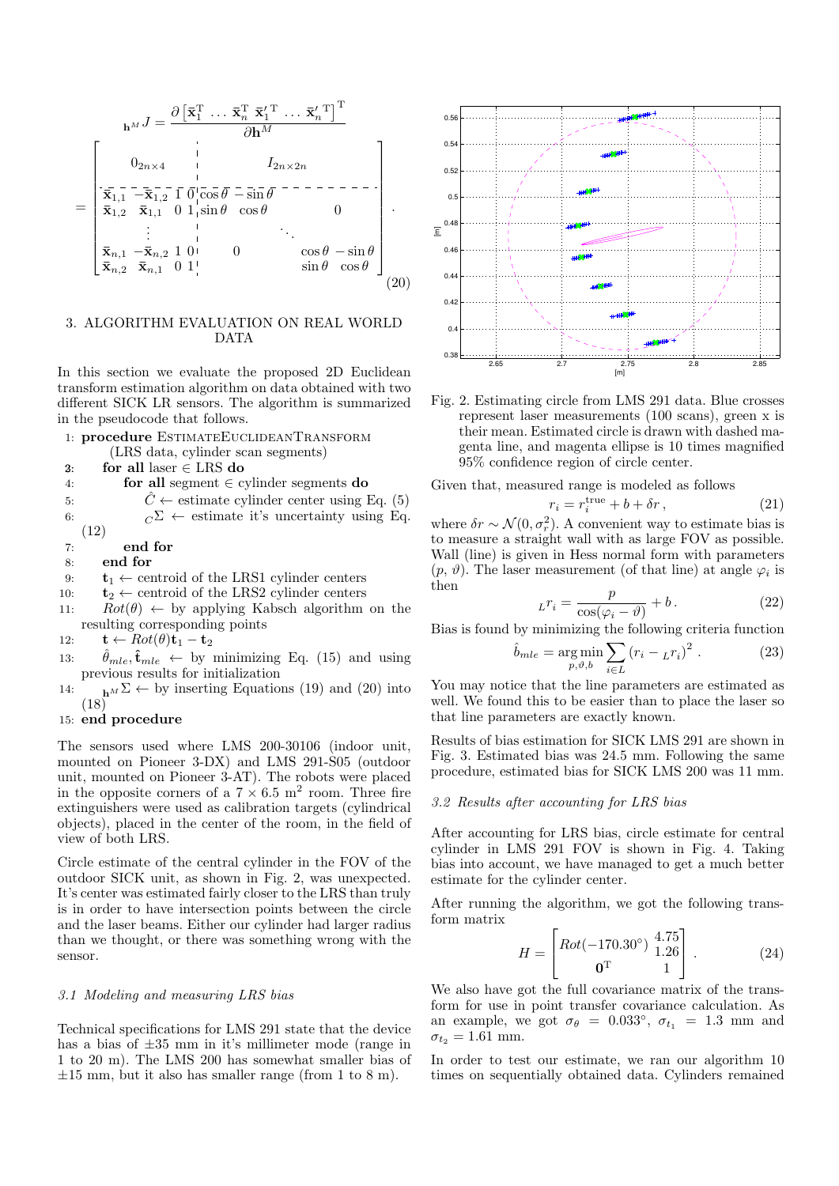$$
\mathbf{h}^{M} J = \frac{\partial \left[\overline{\mathbf{x}}_{1}^{\mathrm{T}} \dots \overline{\mathbf{x}}_{n}^{\mathrm{T}} \overline{\mathbf{x}}_{1}^{\mathrm{T}} \dots \overline{\mathbf{x}}_{n}^{\mathrm{T}}\right]^{T}}{\partial \mathbf{h}^{M}}
$$
\n
$$
= \begin{bmatrix}\n0_{2n \times 4} & | & I_{2n \times 2n} \\
\overline{\mathbf{x}}_{1,1} - \overline{\mathbf{x}}_{1,2} - \overline{\mathbf{x}}_{1,1}^{\mathrm{T}} \overline{\mathbf{0}}_{1}^{\mathrm{T}} \overline{\mathbf{Cos}} \overline{\theta} - \overline{\mathbf{s}} \overline{\mathbf{m}} \overline{\theta}} - \overline{\mathbf{Cos}} \overline{\mathbf{m}} \overline{\mathbf{Cos}} \overline{\mathbf{Cos}} \overline{\mathbf{Cos}} \overline{\mathbf{Cos}} \overline{\mathbf{Cos}} \overline{\mathbf{Cos}} \overline{\mathbf{Cos}} \overline{\mathbf{Cos}} \overline{\mathbf{Cos}} \overline{\mathbf{Cos}} \overline{\mathbf{Cos}} \overline{\mathbf{Cos}} \overline{\mathbf{Cos}} \overline{\mathbf{Cos}} \overline{\mathbf{Cos}} \overline{\mathbf{Cos}} \overline{\mathbf{Cos}} \overline{\mathbf{Cos}} \overline{\mathbf{Cos}} \overline{\mathbf{Cos}} \overline{\mathbf{Cos}} \overline{\mathbf{Cos}} \overline{\mathbf{Cos}} \overline{\mathbf{Cos}} \overline{\mathbf{Cos}} \overline{\mathbf{Cos}} \overline{\mathbf{Cos}} \overline{\mathbf{Cos}} \overline{\mathbf{Cos}} \overline{\mathbf{Cos}} \overline{\mathbf{Cos}} \overline{\mathbf{Cos}} \overline{\mathbf{Cos}} \overline{\mathbf{Cos}} \overline{\mathbf{Cos}} \overline{\mathbf{Cos}} \overline{\mathbf{Cos}} \overline{\mathbf{Cos}} \overline{\mathbf{Cos}} \overline{\mathbf{Cos}} \overline{\mathbf{Cos}} \overline{\mathbf{Cos}} \overline{\mathbf{Cos}} \overline{\mathbf{Cos}} \overline{\mathbf{Cos}} \overline{\mathbf{Cos}} \overline{\mathbf{Cos}} \overline{\mathbf{Cos}} \overline{\mathbf{Cos}} \overline{\math
$$

## 3. ALGORITHM EVALUATION ON REAL WORLD DATA

In this section we evaluate the proposed 2D Euclidean transform estimation algorithm on data obtained with two different SICK LR sensors. The algorithm is summarized in the pseudocode that follows.

- 1: procedure EstimateEuclideanTransform (LRS data, cylinder scan segments)
- 3: for all laser  $\in$  LRS do
- 4: **for all** segment  $\in$  cylinder segments **do**
- 5:  $\hat{C} \leftarrow$  estimate cylinder center using Eq. (5) 6:  $C^{\Sigma} \leftarrow$  estimate it's uncertainty using Eq.
- (12)
- 7: end for
- 8: end for
- 9:  $t_1 \leftarrow$  centroid of the LRS1 cylinder centers
- 10:  $\mathbf{t}_2 \leftarrow$  centroid of the LRS2 cylinder centers
- 11:  $Rot(\theta) \leftarrow by applying Kabsch algorithm on the$ resulting corresponding points
- 12:  $\mathbf{t} \leftarrow Rot(\theta)\mathbf{t}_1 \mathbf{t}_2$
- 13:  $\hat{\theta}_{mle}, \hat{\mathbf{t}}_{mle} \leftarrow$  by minimizing Eq. (15) and using previous results for initialization
- 14:  $h^M \Sigma \leftarrow$  by inserting Equations (19) and (20) into (18)

## 15: end procedure

The sensors used where LMS 200-30106 (indoor unit, mounted on Pioneer 3-DX) and LMS 291-S05 (outdoor unit, mounted on Pioneer 3-AT). The robots were placed in the opposite corners of a  $7 \times 6.5$  m<sup>2</sup> room. Three fire extinguishers were used as calibration targets (cylindrical objects), placed in the center of the room, in the field of view of both LRS.

Circle estimate of the central cylinder in the FOV of the outdoor SICK unit, as shown in Fig. 2, was unexpected. It's center was estimated fairly closer to the LRS than truly is in order to have intersection points between the circle and the laser beams. Either our cylinder had larger radius than we thought, or there was something wrong with the sensor.

#### 3.1 Modeling and measuring LRS bias

Technical specifications for LMS 291 state that the device has a bias of ±35 mm in it's millimeter mode (range in 1 to 20 m). The LMS 200 has somewhat smaller bias of  $\pm 15$  mm, but it also has smaller range (from 1 to 8 m).



Fig. 2. Estimating circle from LMS 291 data. Blue crosses represent laser measurements (100 scans), green x is their mean. Estimated circle is drawn with dashed magenta line, and magenta ellipse is 10 times magnified 95% confidence region of circle center.

Given that, measured range is modeled as follows

$$
r_i = r_i^{\text{true}} + b + \delta r, \qquad (21)
$$

where  $\delta r \sim \mathcal{N}(0, \sigma_r^2)$ . A convenient way to estimate bias is to measure a straight wall with as large FOV as possible. Wall (line) is given in Hess normal form with parameters  $(p, \vartheta)$ . The laser measurement (of that line) at angle  $\varphi_i$  is then

$$
_{L}r_{i} = \frac{p}{\cos(\varphi_{i} - \vartheta)} + b.
$$
 (22)

Bias is found by minimizing the following criteria function

$$
\hat{b}_{mle} = \underset{p,\vartheta,b}{\arg \min} \sum_{i \in L} (r_i - {}_L r_i)^2 . \tag{23}
$$

You may notice that the line parameters are estimated as well. We found this to be easier than to place the laser so that line parameters are exactly known.

Results of bias estimation for SICK LMS 291 are shown in Fig. 3. Estimated bias was 24.5 mm. Following the same procedure, estimated bias for SICK LMS 200 was 11 mm.

#### 3.2 Results after accounting for LRS bias

After accounting for LRS bias, circle estimate for central cylinder in LMS 291 FOV is shown in Fig. 4. Taking bias into account, we have managed to get a much better estimate for the cylinder center.

After running the algorithm, we got the following transform matrix

$$
H = \begin{bmatrix} Rot(-170.30^{\circ}) & 4.75\\ \mathbf{0}^{T} & 1 \end{bmatrix} . \tag{24}
$$

We also have got the full covariance matrix of the transform for use in point transfer covariance calculation. As an example, we got  $\sigma_{\theta} = 0.033^{\circ}$ ,  $\sigma_{t_1} = 1.3$  mm and  $\sigma_{t_2} = 1.61$  mm.

In order to test our estimate, we ran our algorithm 10 times on sequentially obtained data. Cylinders remained